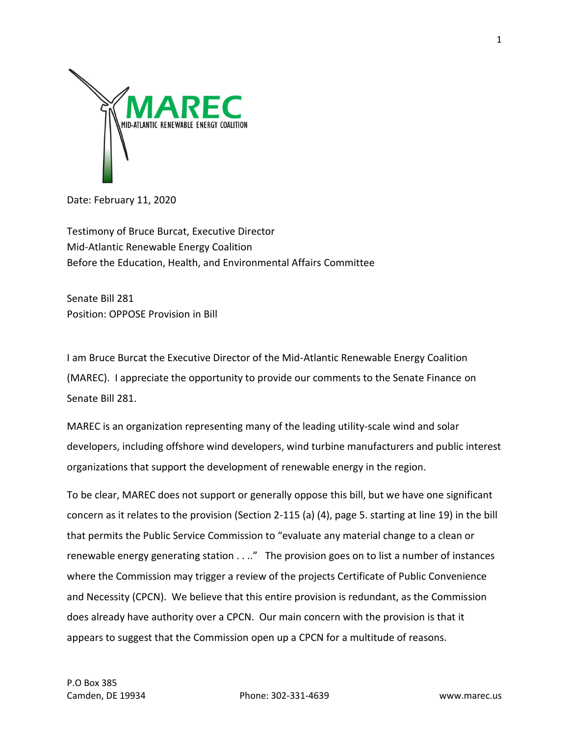

Date: February 11, 2020

Testimony of Bruce Burcat, Executive Director Mid-Atlantic Renewable Energy Coalition Before the Education, Health, and Environmental Affairs Committee

Senate Bill 281 Position: OPPOSE Provision in Bill

I am Bruce Burcat the Executive Director of the Mid-Atlantic Renewable Energy Coalition (MAREC). I appreciate the opportunity to provide our comments to the Senate Finance on Senate Bill 281.

MAREC is an organization representing many of the leading utility-scale wind and solar developers, including offshore wind developers, wind turbine manufacturers and public interest organizations that support the development of renewable energy in the region.

To be clear, MAREC does not support or generally oppose this bill, but we have one significant concern as it relates to the provision (Section 2-115 (a) (4), page 5. starting at line 19) in the bill that permits the Public Service Commission to "evaluate any material change to a clean or renewable energy generating station . . .." The provision goes on to list a number of instances where the Commission may trigger a review of the projects Certificate of Public Convenience and Necessity (CPCN). We believe that this entire provision is redundant, as the Commission does already have authority over a CPCN. Our main concern with the provision is that it appears to suggest that the Commission open up a CPCN for a multitude of reasons.